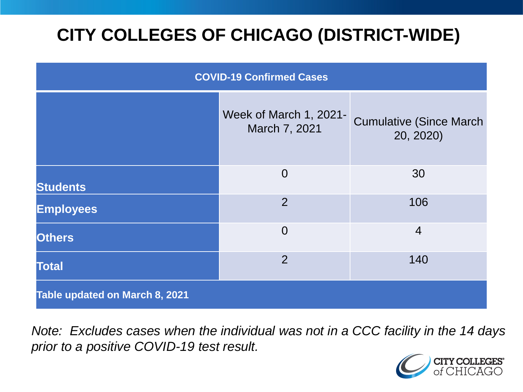# **CITY COLLEGES OF CHICAGO (DISTRICT-WIDE)**

| <b>COVID-19 Confirmed Cases</b> |                                         |                                              |
|---------------------------------|-----------------------------------------|----------------------------------------------|
|                                 | Week of March 1, 2021-<br>March 7, 2021 | <b>Cumulative (Since March)</b><br>20, 2020) |
| <b>Students</b>                 | $\overline{0}$                          | 30                                           |
| <b>Employees</b>                | $\overline{2}$                          | 106                                          |
| <b>Others</b>                   | $\overline{0}$                          | $\overline{4}$                               |
| <b>Total</b>                    | $\overline{2}$                          | 140                                          |
| Table updated on March 8, 2021  |                                         |                                              |

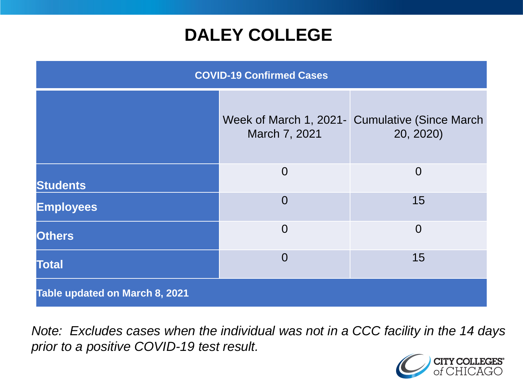### **DALEY COLLEGE**

| <b>COVID-19 Confirmed Cases</b> |                |                                                              |
|---------------------------------|----------------|--------------------------------------------------------------|
|                                 | March 7, 2021  | Week of March 1, 2021 - Cumulative (Since March<br>20, 2020) |
| <b>Students</b>                 | $\overline{0}$ | $\overline{0}$                                               |
| <b>Employees</b>                | $\overline{0}$ | 15                                                           |
| <b>Others</b>                   | $\overline{0}$ | $\overline{0}$                                               |
| <b>Total</b>                    | $\overline{0}$ | 15                                                           |
| Table updated on March 8, 2021  |                |                                                              |

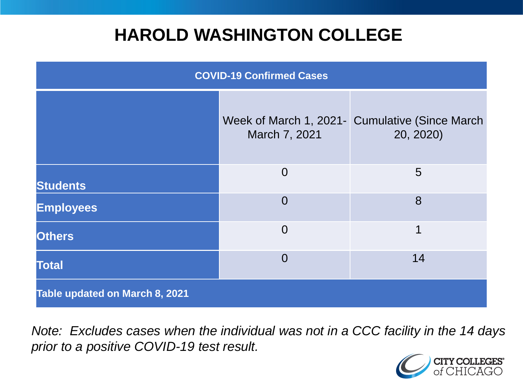### **HAROLD WASHINGTON COLLEGE**

| <b>COVID-19 Confirmed Cases</b> |                |                                                              |
|---------------------------------|----------------|--------------------------------------------------------------|
|                                 | March 7, 2021  | Week of March 1, 2021 - Cumulative (Since March<br>20, 2020) |
| <b>Students</b>                 | $\overline{0}$ | $5\overline{)}$                                              |
| <b>Employees</b>                | $\Omega$       | 8                                                            |
| <b>Others</b>                   | $\overline{0}$ | 1                                                            |
| <b>Total</b>                    | $\Omega$       | 14                                                           |
| Table updated on March 8, 2021  |                |                                                              |

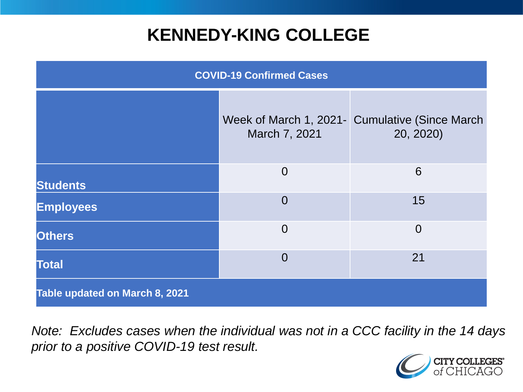### **KENNEDY-KING COLLEGE**

| <b>COVID-19 Confirmed Cases</b> |                |                                                             |
|---------------------------------|----------------|-------------------------------------------------------------|
|                                 | March 7, 2021  | Week of March 1, 2021- Cumulative (Since March<br>20, 2020) |
| <b>Students</b>                 | $\overline{0}$ | 6                                                           |
| <b>Employees</b>                | $\overline{0}$ | 15                                                          |
| <b>Others</b>                   | $\overline{0}$ | $\overline{0}$                                              |
| <b>Total</b>                    | $\overline{0}$ | 21                                                          |
| Table updated on March 8, 2021  |                |                                                             |

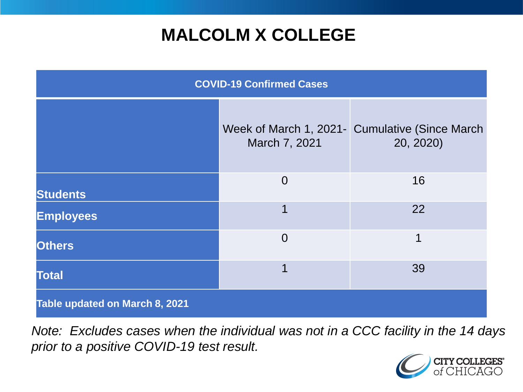## **MALCOLM X COLLEGE**

| <b>COVID-19 Confirmed Cases</b> |                |                                                              |
|---------------------------------|----------------|--------------------------------------------------------------|
|                                 | March 7, 2021  | Week of March 1, 2021 - Cumulative (Since March<br>20, 2020) |
| <b>Students</b>                 | $\overline{0}$ | 16                                                           |
| <b>Employees</b>                | 1              | 22                                                           |
| <b>Others</b>                   | $\overline{0}$ | 1                                                            |
| <b>Total</b>                    | 1              | 39                                                           |
| Table updated on March 8, 2021  |                |                                                              |

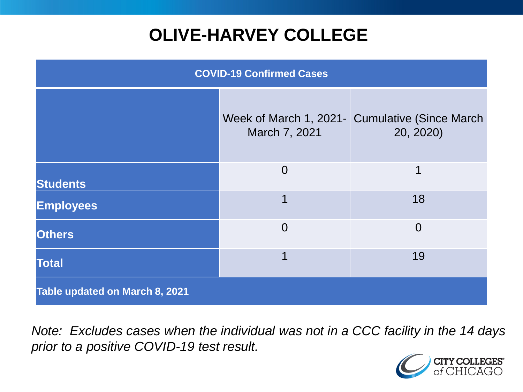# **OLIVE-HARVEY COLLEGE**

| <b>COVID-19 Confirmed Cases</b>       |                |                                                             |
|---------------------------------------|----------------|-------------------------------------------------------------|
|                                       | March 7, 2021  | Week of March 1, 2021- Cumulative (Since March<br>20, 2020) |
| <b>Students</b>                       | $\overline{0}$ | 1                                                           |
| <b>Employees</b>                      | 1              | 18                                                          |
| <b>Others</b>                         | $\Omega$       | $\Omega$                                                    |
| <b>Total</b>                          |                | 19                                                          |
| <b>Table updated on March 8, 2021</b> |                |                                                             |

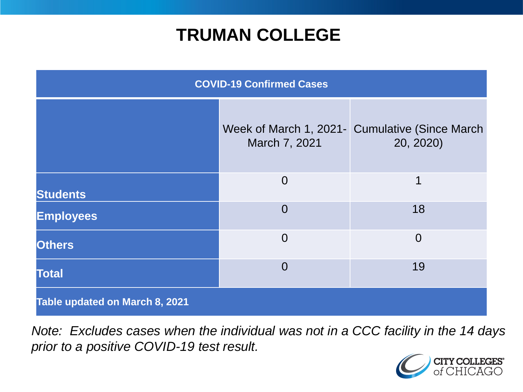### **TRUMAN COLLEGE**

| <b>COVID-19 Confirmed Cases</b> |                |                                                             |
|---------------------------------|----------------|-------------------------------------------------------------|
|                                 | March 7, 2021  | Week of March 1, 2021- Cumulative (Since March<br>20, 2020) |
| <b>Students</b>                 | $\overline{0}$ | 1                                                           |
| <b>Employees</b>                | $\overline{0}$ | 18                                                          |
| <b>Others</b>                   | $\overline{0}$ | $\overline{0}$                                              |
| <b>Total</b>                    | $\overline{0}$ | 19                                                          |
| Table updated on March 8, 2021  |                |                                                             |

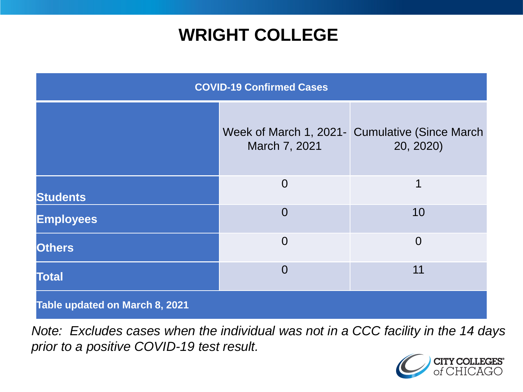### **WRIGHT COLLEGE**

| <b>COVID-19 Confirmed Cases</b> |                |                                                             |
|---------------------------------|----------------|-------------------------------------------------------------|
|                                 | March 7, 2021  | Week of March 1, 2021- Cumulative (Since March<br>20, 2020) |
| <b>Students</b>                 | $\overline{0}$ | 1                                                           |
| <b>Employees</b>                | $\overline{0}$ | 10                                                          |
| <b>Others</b>                   | $\overline{0}$ | $\overline{0}$                                              |
| <b>Total</b>                    | $\overline{0}$ | 11                                                          |
| Table updated on March 8, 2021  |                |                                                             |